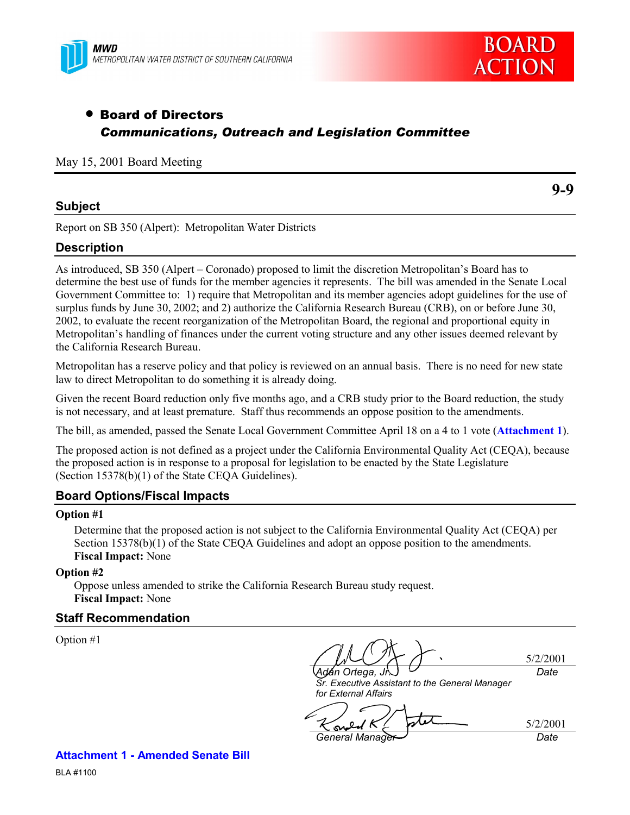



# • Board of Directors *Communications, Outreach and Legislation Committee*

May 15, 2001 Board Meeting

## **Subject**

**9-9**

Report on SB 350 (Alpert): Metropolitan Water Districts

## **Description**

As introduced, SB 350 (Alpert – Coronado) proposed to limit the discretion Metropolitan's Board has to determine the best use of funds for the member agencies it represents. The bill was amended in the Senate Local Government Committee to: 1) require that Metropolitan and its member agencies adopt guidelines for the use of surplus funds by June 30, 2002; and 2) authorize the California Research Bureau (CRB), on or before June 30, 2002, to evaluate the recent reorganization of the Metropolitan Board, the regional and proportional equity in Metropolitan's handling of finances under the current voting structure and any other issues deemed relevant by the California Research Bureau.

Metropolitan has a reserve policy and that policy is reviewed on an annual basis. There is no need for new state law to direct Metropolitan to do something it is already doing.

Given the recent Board reduction only five months ago, and a CRB study prior to the Board reduction, the study is not necessary, and at least premature. Staff thus recommends an oppose position to the amendments.

The bill, as amended, passed the Senate Local Government Committee April 18 on a 4 to 1 vote (**Attachment 1**).

The proposed action is not defined as a project under the California Environmental Quality Act (CEQA), because the proposed action is in response to a proposal for legislation to be enacted by the State Legislature (Section 15378(b)(1) of the State CEQA Guidelines).

## **Board Options/Fiscal Impacts**

### **Option #1**

Determine that the proposed action is not subject to the California Environmental Quality Act (CEQA) per Section 15378(b)(1) of the State CEQA Guidelines and adopt an oppose position to the amendments. **Fiscal Impact:** None

**Option #2**

Oppose unless amended to strike the California Research Bureau study request. **Fiscal Impact:** None

## **Staff Recommendation**

Option #1

*Ad·n Ortega, Jr.*

5/2/2001 *Date*

5/2/2001

*Sr. Executive Assistant to the General Manager for External Affairs*

stet Ń۵ *General Manager Date*

**Attachment 1 - Amended Senate Bill**

BLA #1100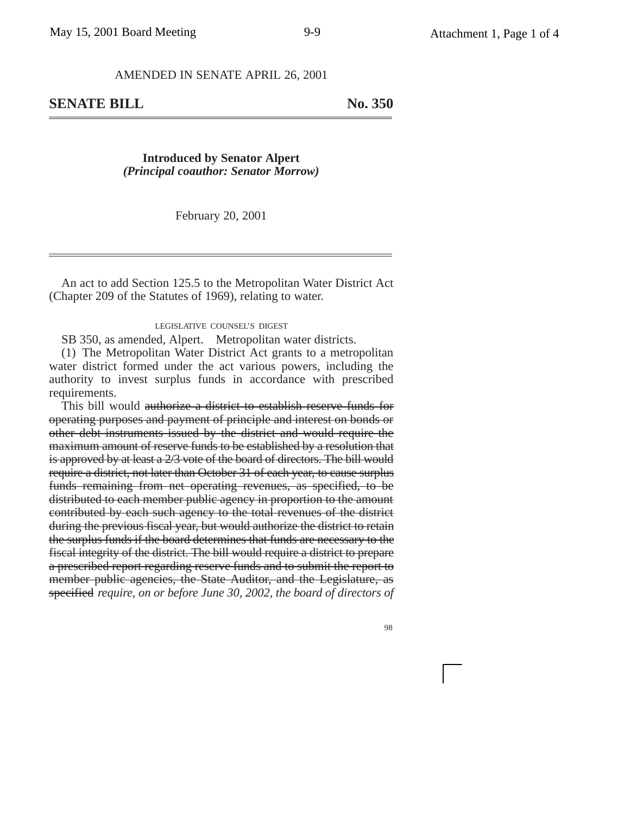### AMENDED IN SENATE APRIL 26, 2001

**SENATE BILL** No. 350

**Introduced by Senator Alpert** *(Principal coauthor: Senator Morrow)*

February 20, 2001

An act to add Section 125.5 to the Metropolitan Water District Act (Chapter 209 of the Statutes of 1969), relating to water.

#### LEGISLATIVE COUNSEL'S DIGEST

SB 350, as amended, Alpert. Metropolitan water districts.

(1) The Metropolitan Water District Act grants to a metropolitan water district formed under the act various powers, including the authority to invest surplus funds in accordance with prescribed requirements.

This bill would authorize a district to establish reserve funds for operating purposes and payment of principle and interest on bonds or other debt instruments issued by the district and would require the maximum amount of reserve funds to be established by a resolution that is approved by at least a 2/3 vote of the board of directors. The bill would require a district, not later than October 31 of each year, to cause surplus funds remaining from net operating revenues, as specified, to be distributed to each member public agency in proportion to the amount contributed by each such agency to the total revenues of the district during the previous fiscal year, but would authorize the district to retain the surplus funds if the board determines that funds are necessary to the fiscal integrity of the district. The bill would require a district to prepare a prescribed report regarding reserve funds and to submit the report to member public agencies, the State Auditor, and the Legislature, as specified *require, on or before June 30, 2002, the board of directors of*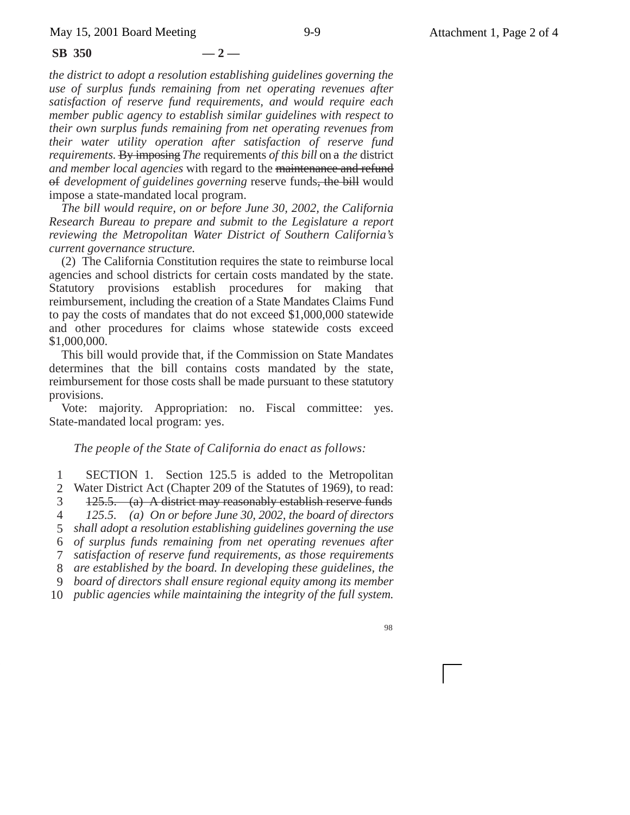**SB 350 — 2 —**

*the district to adopt a resolution establishing guidelines governing the use of surplus funds remaining from net operating revenues after satisfaction of reserve fund requirements, and would require each member public agency to establish similar guidelines with respect to their own surplus funds remaining from net operating revenues from their water utility operation after satisfaction of reserve fund requirements*. By imposing *The* requirements *of this bill* on a *the* district *and member local agencies* with regard to the maintenance and refund of *development of guidelines governing* reserve funds, the bill would impose a state-mandated local program.

*The bill would require, on or before June 30, 2002, the California Research Bureau to prepare and submit to the Legislature a report reviewing the Metropolitan Water District of Southern California's current governance structure.*

(2) The California Constitution requires the state to reimburse local agencies and school districts for certain costs mandated by the state. Statutory provisions establish procedures for making that reimbursement, including the creation of a State Mandates Claims Fund to pay the costs of mandates that do not exceed \$1,000,000 statewide and other procedures for claims whose statewide costs exceed \$1,000,000.

This bill would provide that, if the Commission on State Mandates determines that the bill contains costs mandated by the state, reimbursement for those costs shall be made pursuant to these statutory provisions.

Vote: majority. Appropriation: no. Fiscal committee: yes. State-mandated local program: yes.

### *The people of the State of California do enact as follows:*

1 2 3 4 5 *shall adopt a resolution establishing guidelines governing the use* 6 *of surplus funds remaining from net operating revenues after* 7 8 9 10 *public agencies while maintaining the integrity of the full system.* SECTION 1. Section 125.5 is added to the Metropolitan Water District Act (Chapter 209 of the Statutes of 1969), to read: 125.5. (a) A district may reasonably establish reserve funds *125.5. (a) On or before June 30, 2002, the board of directors satisfaction of reserve fund requirements, as those requirements are established by the board. In developing these guidelines, the board of directors shall ensure regional equity among its member*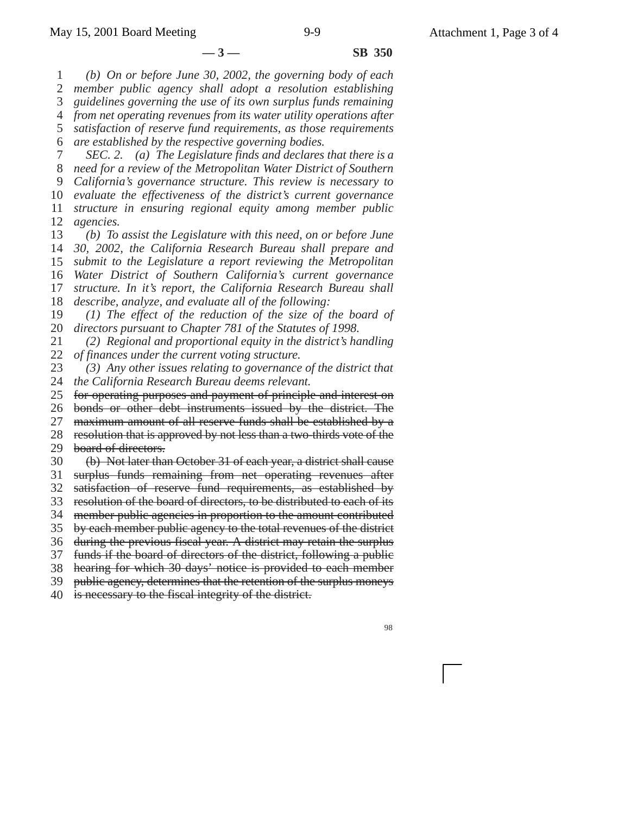1 2 3 4 *from net operating revenues from its water utility operations after* 5 6 7 8 9 10 11 12 13 14 15 16 17 18 19 20 21 22 23 24 *the California Research Bureau deems relevant.* 25 **—3— SB 350** *(b) On or before June 30, 2002, the governing body of each member public agency shall adopt a resolution establishing guidelines governing the use of its own surplus funds remaining satisfaction of reserve fund requirements, as those requirements are established by the respective governing bodies. SEC. 2. (a) The Legislature finds and declares that there is a need for a review of the Metropolitan Water District of Southern California's governance structure. This review is necessary to evaluate the effectiveness of the district's current governance structure in ensuring regional equity among member public agencies. (b) To assist the Legislature with this need, on or before June 30, 2002, the California Research Bureau shall prepare and submit to the Legislature a report reviewing the Metropolitan Water District of Southern California's current governance structure. In it's report, the California Research Bureau shall describe, analyze, and evaluate all of the following: (1) The effect of the reduction of the size of the board of directors pursuant to Chapter 781 of the Statutes of 1998. (2) Regional and proportional equity in the district's handling of finances under the current voting structure. (3) Any other issues relating to governance of the district that* for operating purposes and payment of principle and interest on

26 bonds or other debt instruments issued by the district. The

27 maximum amount of all reserve funds shall be established by a

28 29 resolution that is approved by not less than a two-thirds vote of the board of directors.

30 (b) Not later than October 31 of each year, a district shall cause

31 surplus funds remaining from net operating revenues after

32 satisfaction of reserve fund requirements, as established by

33 resolution of the board of directors, to be distributed to each of its

34 member public agencies in proportion to the amount contributed

35 by each member public agency to the total revenues of the district

36 during the previous fiscal year. A district may retain the surplus

37 funds if the board of directors of the district, following a public

38 hearing for which 30 days' notice is provided to each member

39 public agency, determines that the retention of the surplus moneys

40 is necessary to the fiscal integrity of the district.